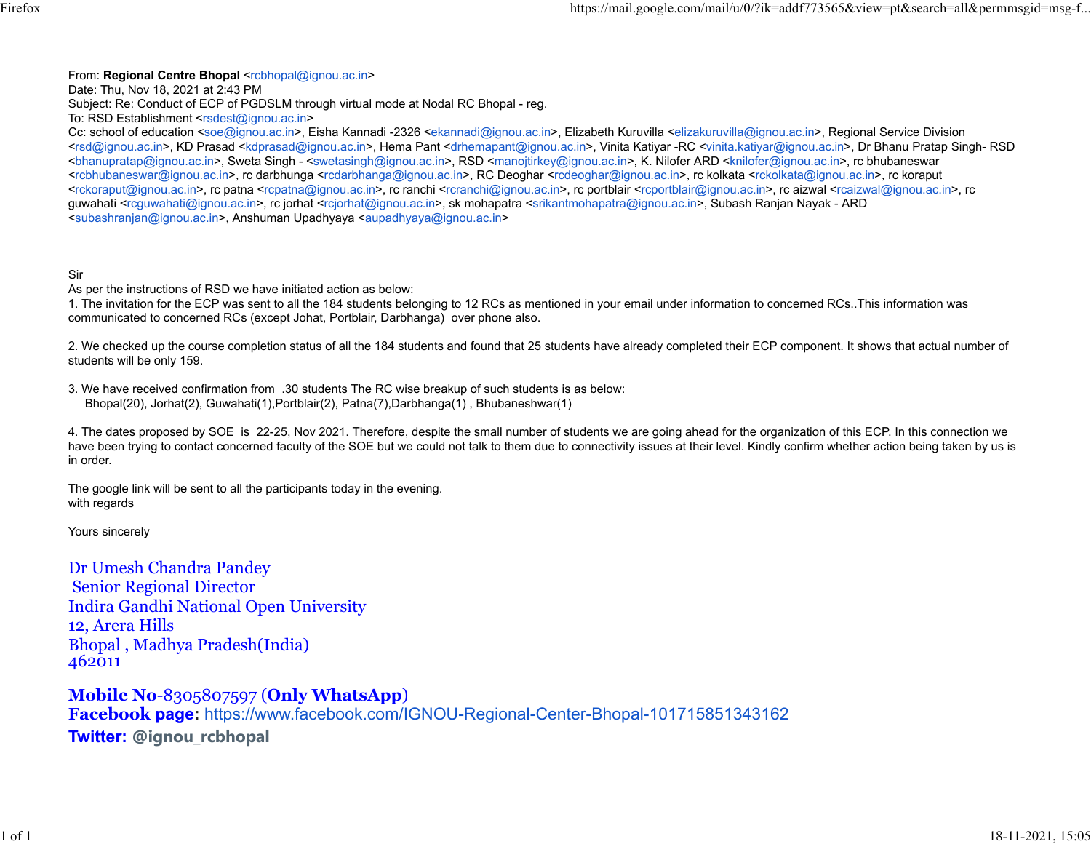From: **Regional Centre Bhopal** [<rcbhopal@ignou.ac.in>](mailto:rcbhopal@ignou.ac.in)

Date: Thu, Nov 18, 2021 at 2:43 PM

Subject: Re: Conduct of ECP of PGDSLM through virtual mode at Nodal RC Bhopal - reg.

To: RSD Establishment [<rsdest@ignou.ac.in>](mailto:rsdest@ignou.ac.in)

Cc: school of education [<soe@ignou.ac.in>](mailto:soe@ignou.ac.in), Eisha Kannadi -2326 [<ekannadi@ignou.ac.in>](mailto:ekannadi@ignou.ac.in), Elizabeth Kuruvilla [<elizakuruvilla@ignou.ac.in>](mailto:elizakuruvilla@ignou.ac.in), Regional Service Division [<rsd@ignou.ac.in>](mailto:rsd@ignou.ac.in), KD Prasad [<kdprasad@ignou.ac.in>](mailto:kdprasad@ignou.ac.in), Hema Pant [<drhemapant@ignou.ac.in>](mailto:drhemapant@ignou.ac.in), Vinita Katiyar -RC [<vinita.katiyar@ignou.ac.in>](mailto:vinita.katiyar@ignou.ac.in), Dr Bhanu Pratap Singh- RSD [<bhanupratap@ignou.ac.in>](mailto:bhanupratap@ignou.ac.in), Sweta Singh - [<swetasingh@ignou.ac.in>](mailto:swetasingh@ignou.ac.in), RSD [<manojtirkey@ignou.ac.in>](mailto:manojtirkey@ignou.ac.in), K. Nilofer ARD [<knilofer@ignou.ac.in>](mailto:knilofer@ignou.ac.in), rc bhubaneswar [<rcbhubaneswar@ignou.ac.in>](mailto:rcbhubaneswar@ignou.ac.in), rc darbhunga [<rcdarbhanga@ignou.ac.in>](mailto:rcdarbhanga@ignou.ac.in), RC Deoghar [<rcdeoghar@ignou.ac.in>](mailto:rcdeoghar@ignou.ac.in), rc kolkata [<rckolkata@ignou.ac.in>](mailto:rckolkata@ignou.ac.in), rc koraput [<rckoraput@ignou.ac.in>](mailto:rckoraput@ignou.ac.in), rc patna [<rcpatna@ignou.ac.in>](mailto:rcpatna@ignou.ac.in), rc ranchi [<rcranchi@ignou.ac.in>](mailto:rcranchi@ignou.ac.in), rc portblair [<rcportblair@ignou.ac.in>](mailto:rcportblair@ignou.ac.in), rc aizwal [<rcaizwal@ignou.ac.in>](mailto:rcaizwal@ignou.ac.in), rc guwahati [<rcguwahati@ignou.ac.in>](mailto:rcguwahati@ignou.ac.in), rc jorhat [<rcjorhat@ignou.ac.in>](mailto:rcjorhat@ignou.ac.in), sk mohapatra [<srikantmohapatra@ignou.ac.in>](mailto:srikantmohapatra@ignou.ac.in), Subash Ranjan Nayak - ARD [<subashranjan@ignou.ac.in>](mailto:subashranjan@ignou.ac.in), Anshuman Upadhyaya [<aupadhyaya@ignou.ac.in>](mailto:aupadhyaya@ignou.ac.in)

Sir

As per the instructions of RSD we have initiated action as below:

1. The invitation for the ECP was sent to all the 184 students belonging to 12 RCs as mentioned in your email under information to concerned RCs..This information was communicated to concerned RCs (except Johat, Portblair, Darbhanga) over phone also.

2. We checked up the course completion status of all the 184 students and found that 25 students have already completed their ECP component. It shows that actual number of students will be only 159.

3. We have received confirmation from .30 students The RC wise breakup of such students is as below: Bhopal(20), Jorhat(2), Guwahati(1),Portblair(2), Patna(7),Darbhanga(1) , Bhubaneshwar(1)

4. The dates proposed by SOE is 22-25, Nov 2021. Therefore, despite the small number of students we are going ahead for the organization of this ECP. In this connection we have been trying to contact concerned faculty of the SOE but we could not talk to them due to connectivity issues at their level. Kindly confirm whether action being taken by us is in order.

The google link will be sent to all the participants today in the evening. with regards

Yours sincerely

Dr Umesh Chandra Pandey Senior Regional Director Indira Gandhi National Open University 12, Arera Hills Bhopal , Madhya Pradesh(India) 462011

**Mobile No**-8305807597 (**Only WhatsApp**) **Facebook page:** [https://www.facebook.com/IGNOU-Regional-Center-Bhopal-101715851343162](https://www.facebook.com/IGNOU-Regional-Center-Bhopal-101715851343162/?ref=page_internal) **Twitter: @ignou\_rcbhopal**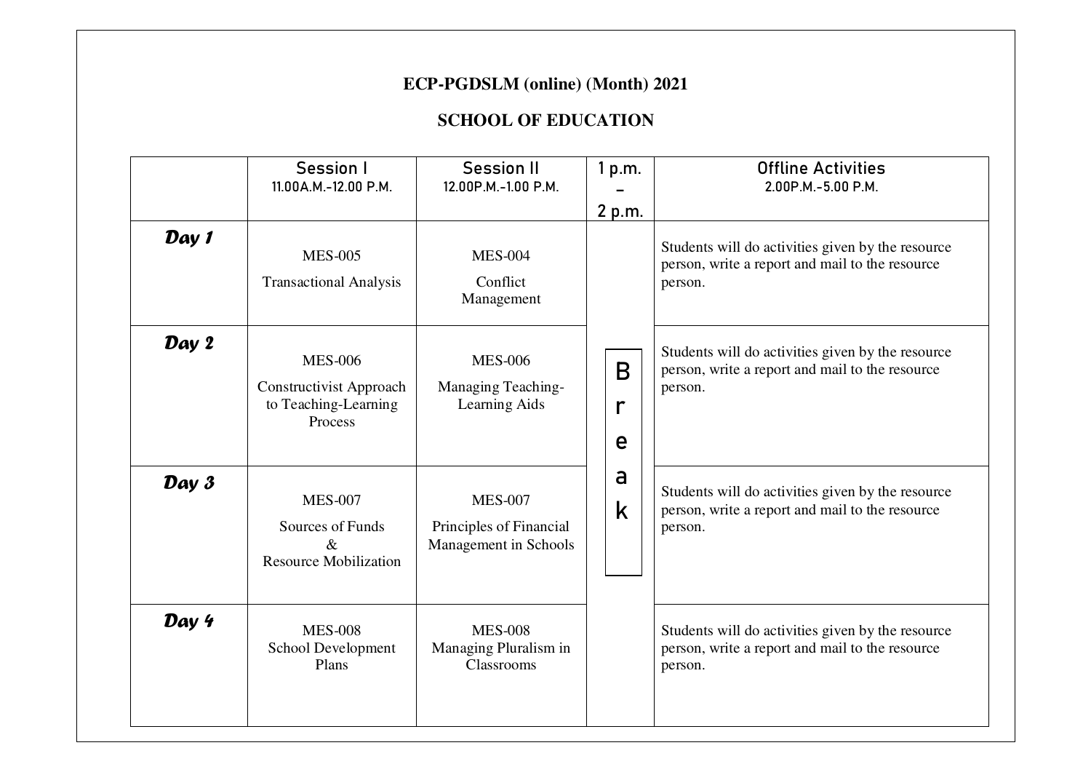## **ECP-PGDSLM (online) (Month) 2021**

## **SCHOOL OF EDUCATION**

|       | Session I<br>11.00A.M.-12.00 P.M.                                                   | <b>Session II</b><br>12.00P.M.-1.00 P.M.                           | 1 p.m.<br>2 p.m. | <b>Offline Activities</b><br>2.00P.M.-5.00 P.M.                                                                 |
|-------|-------------------------------------------------------------------------------------|--------------------------------------------------------------------|------------------|-----------------------------------------------------------------------------------------------------------------|
| Day 1 | <b>MES-005</b><br><b>Transactional Analysis</b>                                     | <b>MES-004</b><br>Conflict<br>Management                           |                  | Students will do activities given by the resource<br>person, write a report and mail to the resource<br>person. |
| Day 2 | <b>MES-006</b><br><b>Constructivist Approach</b><br>to Teaching-Learning<br>Process | <b>MES-006</b><br>Managing Teaching-<br>Learning Aids              | B<br>e           | Students will do activities given by the resource<br>person, write a report and mail to the resource<br>person. |
| Day 3 | <b>MES-007</b><br>Sources of Funds<br>$\&$<br><b>Resource Mobilization</b>          | <b>MES-007</b><br>Principles of Financial<br>Management in Schools | a<br>k           | Students will do activities given by the resource<br>person, write a report and mail to the resource<br>person. |
| Day 4 | <b>MES-008</b><br>School Development<br>Plans                                       | <b>MES-008</b><br>Managing Pluralism in<br>Classrooms              |                  | Students will do activities given by the resource<br>person, write a report and mail to the resource<br>person. |